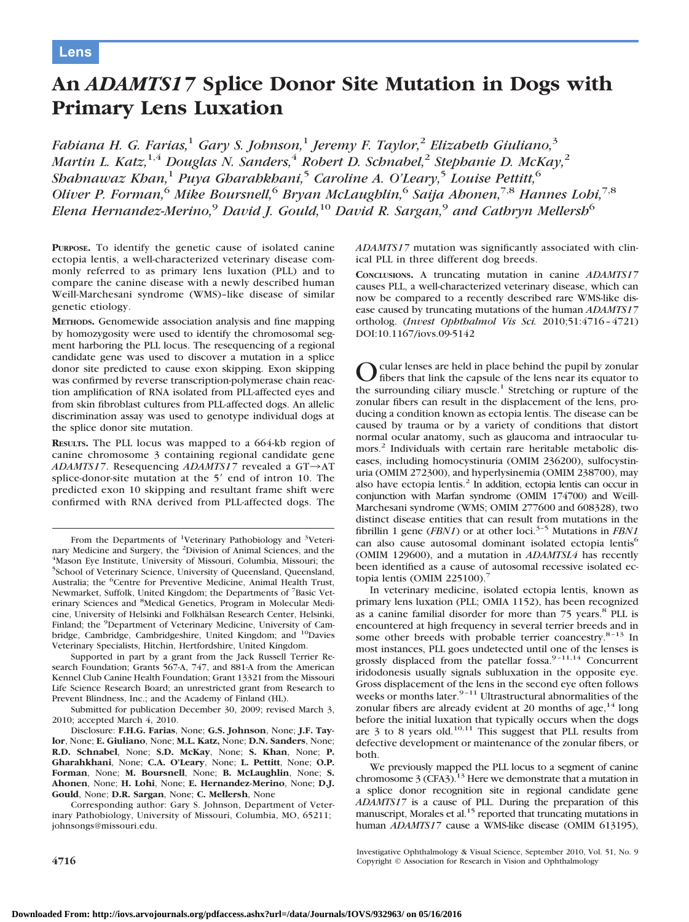# **An** *ADAMTS17* **Splice Donor Site Mutation in Dogs with Primary Lens Luxation**

*Fabiana H. G. Farias,*<sup>1</sup> *Gary S. Johnson,*<sup>1</sup> *Jeremy F. Taylor,*<sup>2</sup> *Elizabeth Giuliano,*<sup>3</sup> *Martin L. Katz,*1,4 *Douglas N. Sanders,*<sup>4</sup> *Robert D. Schnabel,*<sup>2</sup> *Stephanie D. McKay,*<sup>2</sup> *Shahnawaz Khan,*<sup>1</sup> *Puya Gharahkhani,*<sup>5</sup> *Caroline A. O'Leary,*<sup>5</sup> *Louise Pettitt,*<sup>6</sup> *Oliver P. Forman,*<sup>6</sup> *Mike Boursnell,*<sup>6</sup> *Bryan McLaughlin,*<sup>6</sup> *Saija Ahonen,*7,8 *Hannes Lohi,*7,8 *Elena Hernandez-Merino,*<sup>9</sup> *David J. Gould,*<sup>10</sup> *David R. Sargan,*<sup>9</sup> *and Cathryn Mellersh*<sup>6</sup>

**PURPOSE.** To identify the genetic cause of isolated canine ectopia lentis, a well-characterized veterinary disease commonly referred to as primary lens luxation (PLL) and to compare the canine disease with a newly described human Weill-Marchesani syndrome (WMS)–like disease of similar genetic etiology.

**METHODS.** Genomewide association analysis and fine mapping by homozygosity were used to identify the chromosomal segment harboring the PLL locus. The resequencing of a regional candidate gene was used to discover a mutation in a splice donor site predicted to cause exon skipping. Exon skipping was confirmed by reverse transcription-polymerase chain reaction amplification of RNA isolated from PLL-affected eyes and from skin fibroblast cultures from PLL-affected dogs. An allelic discrimination assay was used to genotype individual dogs at the splice donor site mutation.

**RESULTS.** The PLL locus was mapped to a 664-kb region of canine chromosome 3 containing regional candidate gene *ADAMTS17*. Resequencing *ADAMTS17* revealed a GT→AT splice-donor-site mutation at the 5' end of intron 10. The predicted exon 10 skipping and resultant frame shift were confirmed with RNA derived from PLL-affected dogs. The

Supported in part by a grant from the Jack Russell Terrier Research Foundation; Grants 567-A, 747, and 881-A from the American Kennel Club Canine Health Foundation; Grant 13321 from the Missouri Life Science Research Board; an unrestricted grant from Research to Prevent Blindness, Inc.; and the Academy of Finland (HL).

Submitted for publication December 30, 2009; revised March 3, 2010; accepted March 4, 2010.

Disclosure: **F.H.G. Farias**, None; **G.S. Johnson**, None; **J.F. Taylor**, None; **E. Giuliano**, None; **M.L. Katz,** None; **D.N. Sanders**, None; **R.D. Schnabel**, None; **S.D. McKay**, None; **S. Khan**, None; **P. Gharahkhani**, None; **C.A. O'Leary**, None; **L. Pettitt**, None; **O.P. Forman**, None; **M. Boursnell**, None; **B. McLaughlin**, None; **S. Ahonen**, None; **H. Lohi**, None; **E. Hernandez-Merino**, None; **D.J. Gould**, None; **D.R. Sargan**, None; **C. Mellersh**, None

Corresponding author: Gary S. Johnson, Department of Veterinary Pathobiology, University of Missouri, Columbia, MO, 65211; johnsongs@missouri.edu.

*ADAMTS17* mutation was significantly associated with clinical PLL in three different dog breeds.

**CONCLUSIONS.** A truncating mutation in canine *ADAMTS17* causes PLL, a well-characterized veterinary disease, which can now be compared to a recently described rare WMS-like disease caused by truncating mutations of the human *ADAMTS17* ortholog. (*Invest Ophthalmol Vis Sci.* 2010;51:4716–4721) DOI:10.1167/iovs.09-5142

cular lenses are held in place behind the pupil by zonular fibers that link the capsule of the lens near its equator to the surrounding ciliary muscle.<sup>1</sup> Stretching or rupture of the zonular fibers can result in the displacement of the lens, producing a condition known as ectopia lentis. The disease can be caused by trauma or by a variety of conditions that distort normal ocular anatomy, such as glaucoma and intraocular tumors.2 Individuals with certain rare heritable metabolic diseases, including homocystinuria (OMIM 236200), sulfocystinuria (OMIM 272300), and hyperlysinemia (OMIM 238700), may also have ectopia lentis.<sup>2</sup> In addition, ectopia lentis can occur in conjunction with Marfan syndrome (OMIM 174700) and Weill-Marchesani syndrome (WMS; OMIM 277600 and 608328), two distinct disease entities that can result from mutations in the fibrillin 1 gene (*FBN1*) or at other loci.<sup>3-5</sup> Mutations in *FBN1* can also cause autosomal dominant isolated ectopia lentis<sup>6</sup> (OMIM 129600), and a mutation in *ADAMTSL4* has recently been identified as a cause of autosomal recessive isolated ectopia lentis (OMIM 225100).<sup>7</sup>

In veterinary medicine, isolated ectopia lentis, known as primary lens luxation (PLL; OMIA 1152), has been recognized as a canine familial disorder for more than 75 years.8 PLL is encountered at high frequency in several terrier breeds and in some other breeds with probable terrier coancestry.<sup>8-13</sup> In most instances, PLL goes undetected until one of the lenses is grossly displaced from the patellar fossa.<sup>9-11,14</sup> Concurrent iridodonesis usually signals subluxation in the opposite eye. Gross displacement of the lens in the second eye often follows weeks or months later. $9-11$  Ultrastructural abnormalities of the zonular fibers are already evident at 20 months of  $age, <sup>14</sup>$  long before the initial luxation that typically occurs when the dogs<br>are 3 to 8 years old.<sup>10,11</sup> This suggest that PLL results from defective development or maintenance of the zonular fibers, or both.

We previously mapped the PLL locus to a segment of canine chromosome  $3$  (CFA3).<sup>13</sup> Here we demonstrate that a mutation in a splice donor recognition site in regional candidate gene *ADAMTS17* is a cause of PLL. During the preparation of this manuscript, Morales et al.<sup>15</sup> reported that truncating mutations in human *ADAMTS17* cause a WMS-like disease (OMIM 613195),

Investigative Ophthalmology & Visual Science, September 2010, Vol. 51, No. 9 **4716** Copyright © Association for Research in Vision and Ophthalmology

From the Departments of <sup>1</sup>Veterinary Pathobiology and <sup>3</sup>Veterinary Medicine and Surgery, the <sup>2</sup>Division of Animal Sciences, and the 4Mason Eve Institute, University of Missouri, Columbia, Missouri, the <sup>4</sup>Mason Eye Institute, University of Missouri, Columbia, Missouri; the 5 School of Veterinary Science, University of Queensland, Queensland, Australia; the <sup>6</sup>Centre for Preventive Medicine, Animal Health Trust, Newmarket, Suffolk, United Kingdom; the Departments of <sup>7</sup>Basic Veterinary Sciences and <sup>8</sup>Medical Genetics, Program in Molecular Medicine, University of Helsinki and Folkhälsan Research Center, Helsinki, Finland; the <sup>9</sup>Department of Veterinary Medicine, University of Cambridge, Cambridge, Cambridgeshire, United Kingdom; and <sup>10</sup>Davies Veterinary Specialists, Hitchin, Hertfordshire, United Kingdom.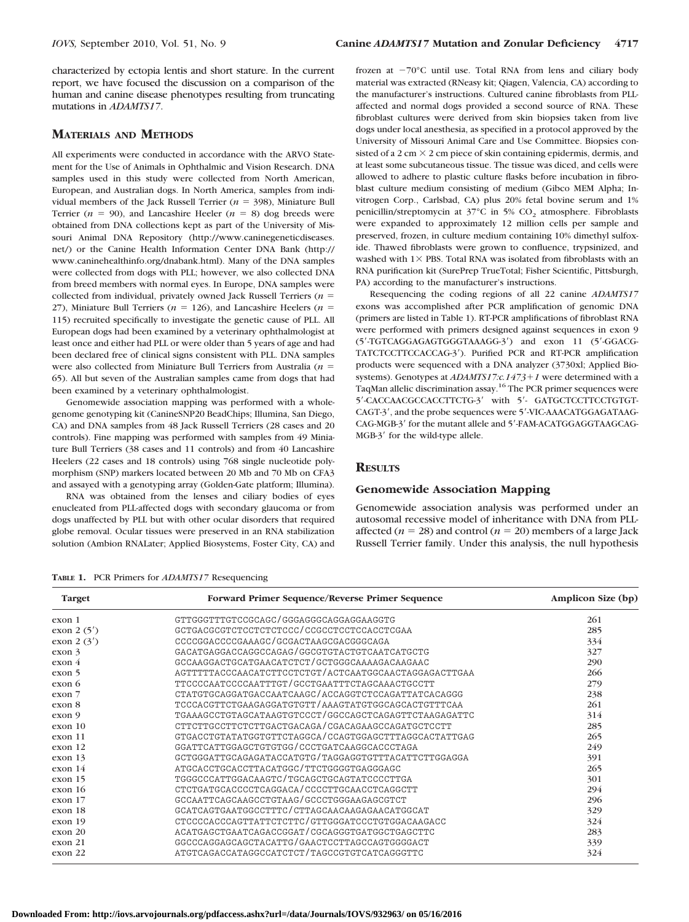characterized by ectopia lentis and short stature. In the current report, we have focused the discussion on a comparison of the human and canine disease phenotypes resulting from truncating mutations in *ADAMTS17*.

# **MATERIALS AND METHODS**

All experiments were conducted in accordance with the ARVO Statement for the Use of Animals in Ophthalmic and Vision Research. DNA samples used in this study were collected from North American, European, and Australian dogs. In North America, samples from individual members of the Jack Russell Terrier  $(n = 398)$ , Miniature Bull Terrier ( $n = 90$ ), and Lancashire Heeler ( $n = 8$ ) dog breeds were obtained from DNA collections kept as part of the University of Missouri Animal DNA Repository (http://www.caninegeneticdiseases. net/) or the Canine Health Information Center DNA Bank (http:// www.caninehealthinfo.org/dnabank.html). Many of the DNA samples were collected from dogs with PLL; however, we also collected DNA from breed members with normal eyes. In Europe, DNA samples were collected from individual, privately owned Jack Russell Terriers  $(n =$ 27), Miniature Bull Terriers ( $n = 126$ ), and Lancashire Heelers ( $n =$ 115) recruited specifically to investigate the genetic cause of PLL. All European dogs had been examined by a veterinary ophthalmologist at least once and either had PLL or were older than 5 years of age and had been declared free of clinical signs consistent with PLL. DNA samples were also collected from Miniature Bull Terriers from Australia (*n* = 65). All but seven of the Australian samples came from dogs that had been examined by a veterinary ophthalmologist.

Genomewide association mapping was performed with a wholegenome genotyping kit (CanineSNP20 BeadChips; Illumina, San Diego, CA) and DNA samples from 48 Jack Russell Terriers (28 cases and 20 controls). Fine mapping was performed with samples from 49 Miniature Bull Terriers (38 cases and 11 controls) and from 40 Lancashire Heelers (22 cases and 18 controls) using 768 single nucleotide polymorphism (SNP) markers located between 20 Mb and 70 Mb on CFA3 and assayed with a genotyping array (Golden-Gate platform; Illumina).

RNA was obtained from the lenses and ciliary bodies of eyes enucleated from PLL-affected dogs with secondary glaucoma or from dogs unaffected by PLL but with other ocular disorders that required globe removal. Ocular tissues were preserved in an RNA stabilization solution (Ambion RNALater; Applied Biosystems, Foster City, CA) and frozen at  $-70^{\circ}$ C until use. Total RNA from lens and ciliary body material was extracted (RNeasy kit; Qiagen, Valencia, CA) according to the manufacturer's instructions. Cultured canine fibroblasts from PLLaffected and normal dogs provided a second source of RNA. These fibroblast cultures were derived from skin biopsies taken from live dogs under local anesthesia, as specified in a protocol approved by the University of Missouri Animal Care and Use Committee. Biopsies consisted of a 2 cm  $\times$  2 cm piece of skin containing epidermis, dermis, and at least some subcutaneous tissue. The tissue was diced, and cells were allowed to adhere to plastic culture flasks before incubation in fibroblast culture medium consisting of medium (Gibco MEM Alpha; Invitrogen Corp., Carlsbad, CA) plus 20% fetal bovine serum and 1% penicillin/streptomycin at 37°C in 5% CO<sub>2</sub> atmosphere. Fibroblasts were expanded to approximately 12 million cells per sample and preserved, frozen, in culture medium containing 10% dimethyl sulfoxide. Thawed fibroblasts were grown to confluence, trypsinized, and washed with  $1\times$  PBS. Total RNA was isolated from fibroblasts with an RNA purification kit (SurePrep TrueTotal; Fisher Scientific, Pittsburgh, PA) according to the manufacturer's instructions.

Resequencing the coding regions of all 22 canine *ADAMTS17* exons was accomplished after PCR amplification of genomic DNA (primers are listed in Table 1). RT-PCR amplifications of fibroblast RNA were performed with primers designed against sequences in exon 9 (5-TGTCAGGAGAGTGGGTAAAGG-3) and exon 11 (5-GGACG-TATCTCCTTCCACCAG-3). Purified PCR and RT-PCR amplification products were sequenced with a DNA analyzer (3730xl; Applied Biosystems). Genotypes at *ADAMTS17:c.1473*+1 were determined with a TaqMan allelic discrimination assay.<sup>16</sup> The PCR primer sequences were 5'-CACCAACGCCACCTTCTG-3' with 5'- GATGCTCCTTCCTGTGT-CAGT-3', and the probe sequences were 5'-VIC-AAACATGGAGATAAG-CAG-MGB-3' for the mutant allele and 5'-FAM-ACATGGAGGTAAGCAG-MGB-3' for the wild-type allele.

# **RESULTS**

#### **Genomewide Association Mapping**

Genomewide association analysis was performed under an autosomal recessive model of inheritance with DNA from PLLaffected  $(n = 28)$  and control  $(n = 20)$  members of a large Jack Russell Terrier family. Under this analysis, the null hypothesis

**TABLE 1.** PCR Primers for *ADAMTS17* Resequencing

| <b>Target</b>     | Forward Primer Sequence/Reverse Primer Sequence       | Amplicon Size (bp)<br>261 |  |  |
|-------------------|-------------------------------------------------------|---------------------------|--|--|
| exon 1            | GTTGGGTTTGTCCGCAGC/GGGAGGGCAGGAGGAAGGTG               |                           |  |  |
| exon $2(5')$      | GCTGACGCGTCTCCTCTCTCCC/CCGCCTCCTCCACCTCGAA            | 285                       |  |  |
| exon $2(3')$      | CCCCGGACCCCGAAAGC/GCGACTAAGCGACGGCCAGA                | 334                       |  |  |
| exon <sub>3</sub> | GACATGAGGACCAGGCCAGAG/GGCGTGTACTGTCAATCATGCTG         | 327                       |  |  |
| exon <sub>4</sub> | GCCAAGGACTGCATGAACATCTCT/GCTGGGCAAAAGACAAGAAC         | 290                       |  |  |
| exon 5            | AGTTTTTACCCAACATCTTCCTCTGT/ACTCAATGGCAACTAGGAGACTTGAA | 266                       |  |  |
| exon 6            | TTCCCCAATCCCCAATTTGT/GCCTGAATTTCTAGCAAACTGCCTT        | 279                       |  |  |
| exon 7            | CTATGTGCAGGATGACCAATCAAGC/ACCAGGTCTCCAGATTATCACAGGG   | 238                       |  |  |
| exon 8            | TCCCACGTTCTGAAGAGGATGTGTT/AAAGTATGTGGCAGCACTGTTTCAA   | 261                       |  |  |
| exon 9            | TGAAAGCCTGTAGCATAAGTGTCCCT/GGCCAGCTCAGAGTTCTAAGAGATTC | 314                       |  |  |
| exon 10           | CTTCTTGCCTTCTCTTGACTGACAGA/CGACAGAAGCCAGATGCTCCTT     | 285                       |  |  |
| exon 11           | GTGACCTGTATATGGTGTTCTAGGCA/CCAGTGGAGCTTTAGGCACTATTGAG | 265                       |  |  |
| exon 12           | GGATTCATTGGAGCTGTGTGG/CCCTGATCAAGGCACCCTAGA           | 249                       |  |  |
| exon 13           | GCTGGGATTGCAGAGATACCATGTG/TAGGAGGTGTTTACATTCTTGGAGGA  | 391                       |  |  |
| exon 14           | ATGCACCTGCACCTTACATGGC/TTCTGGGGTGAGGGAGC              | 265                       |  |  |
| exon 15           | TGGGCCCATTGGACAAGTC/TGCAGCTGCAGTATCCCCTTGA            | 301                       |  |  |
| exon 16           | CTCTGATGCACCCCTCAGGACA/CCCCTTGCAACCTCAGGCTT           | 294                       |  |  |
| exon 17           | GCCAATTCAGCAAGCCTGTAAG/GCCCTGGGAAGAGCGTCT             | 296                       |  |  |
| exon 18           | GCATCAGTGAATGGCCTTTC/CTTAGCAACAAGAGAACATGGCAT         | 329                       |  |  |
| exon 19           | CTCCCCACCCAGTTATTCTCTTC/GTTGGGATCCCTGTGGACAAGACC      | 324                       |  |  |
| exon 20           | ACATGAGCTGAATCAGACCGGAT/CGCAGGGTGATGGCTGAGCTTC        | 283                       |  |  |
| exon 21           | GGCCCAGGAGCAGCTACATTG/GAACTCCTTAGCCAGTGGGGACT         | 339                       |  |  |
| exon 22           | ATGTCAGACCATAGGCCATCTCT/TAGCCGTGTCATCAGGGTTC          | 324                       |  |  |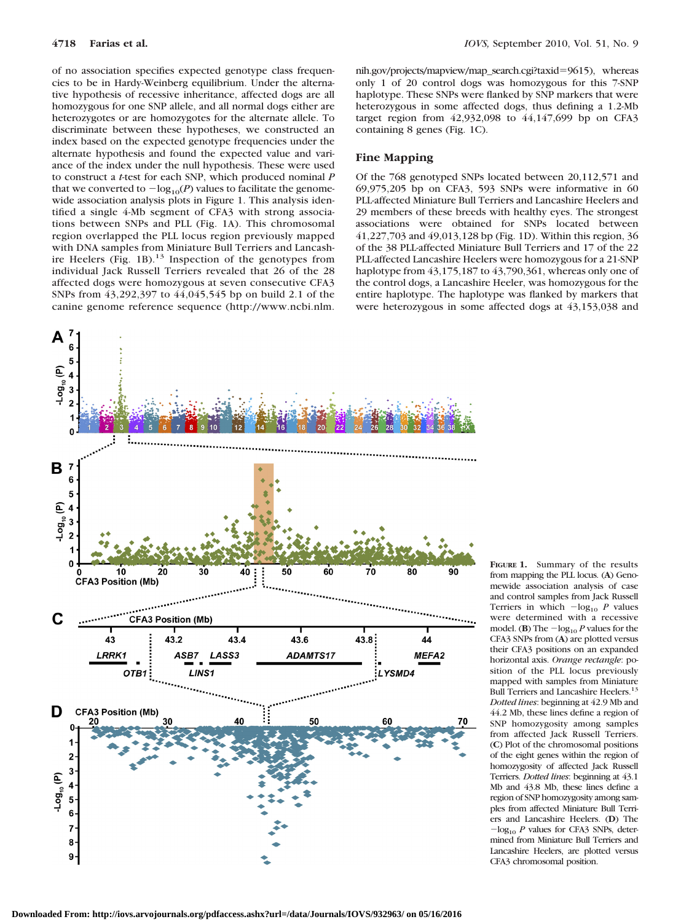A

of no association specifies expected genotype class frequencies to be in Hardy-Weinberg equilibrium. Under the alternative hypothesis of recessive inheritance, affected dogs are all homozygous for one SNP allele, and all normal dogs either are heterozygotes or are homozygotes for the alternate allele. To discriminate between these hypotheses, we constructed an index based on the expected genotype frequencies under the alternate hypothesis and found the expected value and variance of the index under the null hypothesis. These were used to construct a *t*-test for each SNP, which produced nominal *P* that we converted to  $-\log_{10}(P)$  values to facilitate the genomewide association analysis plots in Figure 1. This analysis identified a single 4-Mb segment of CFA3 with strong associations between SNPs and PLL (Fig. 1A). This chromosomal region overlapped the PLL locus region previously mapped with DNA samples from Miniature Bull Terriers and Lancashire Heelers (Fig. 1B).<sup>13</sup> Inspection of the genotypes from individual Jack Russell Terriers revealed that 26 of the 28 affected dogs were homozygous at seven consecutive CFA3 SNPs from 43,292,397 to 44,045,545 bp on build 2.1 of the canine genome reference sequence (http://www.ncbi.nlm.



nih.gov/projects/mapview/map\_search.cgi?taxid-9615), whereas only 1 of 20 control dogs was homozygous for this 7-SNP haplotype. These SNPs were flanked by SNP markers that were heterozygous in some affected dogs, thus defining a 1.2-Mb target region from 42,932,098 to 44,147,699 bp on CFA3 containing 8 genes (Fig. 1C).

### **Fine Mapping**

Of the 768 genotyped SNPs located between 20,112,571 and 69,975,205 bp on CFA3, 593 SNPs were informative in 60 PLL-affected Miniature Bull Terriers and Lancashire Heelers and 29 members of these breeds with healthy eyes. The strongest associations were obtained for SNPs located between 41,227,703 and 49,013,128 bp (Fig. 1D). Within this region, 36 of the 38 PLL-affected Miniature Bull Terriers and 17 of the 22 PLL-affected Lancashire Heelers were homozygous for a 21-SNP haplotype from 43,175,187 to 43,790,361, whereas only one of the control dogs, a Lancashire Heeler, was homozygous for the entire haplotype. The haplotype was flanked by markers that were heterozygous in some affected dogs at 43,153,038 and

> **FIGURE 1.** Summary of the results from mapping the PLL locus. (**A**) Genomewide association analysis of case and control samples from Jack Russell Terriers in which  $-\log_{10} P$  values were determined with a recessive model. (**B**) The  $-\log_{10} P$  values for the CFA3 SNPs from (**A**) are plotted versus their CFA3 positions on an expanded horizontal axis. *Orange rectangle*: position of the PLL locus previously mapped with samples from Miniature Bull Terriers and Lancashire Heelers.13 *Dotted lines*: beginning at 42.9 Mb and 44.2 Mb, these lines define a region of SNP homozygosity among samples from affected Jack Russell Terriers. (**C**) Plot of the chromosomal positions of the eight genes within the region of homozygosity of affected Jack Russell Terriers. *Dotted lines*: beginning at 43.1 Mb and 43.8 Mb, these lines define a region of SNP homozygosity among samples from affected Miniature Bull Terriers and Lancashire Heelers. (**D**) The  $-\log_{10} P$  values for CFA3 SNPs, determined from Miniature Bull Terriers and Lancashire Heelers, are plotted versus CFA3 chromosomal position.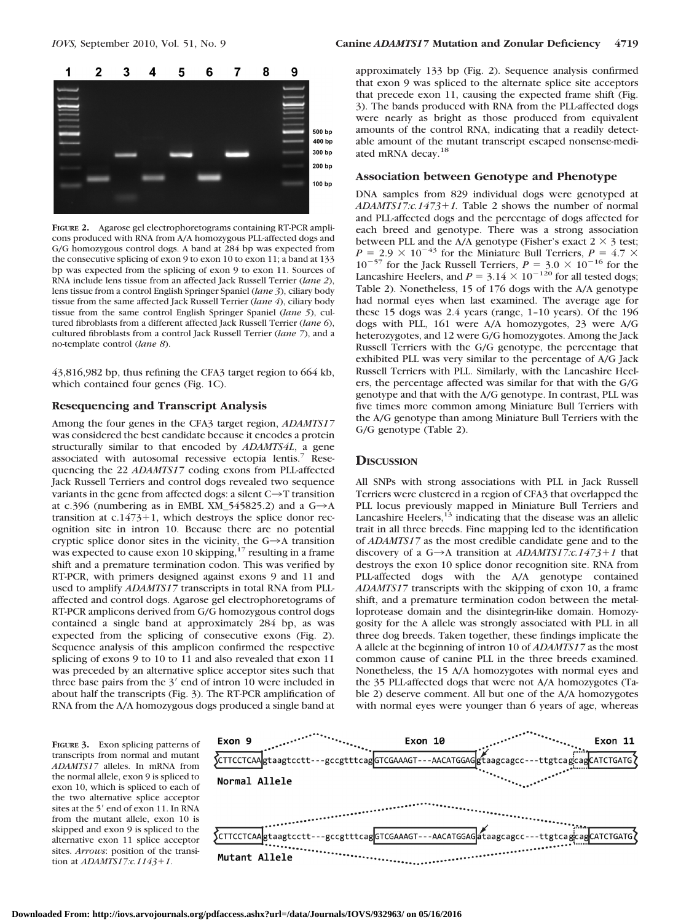

**FIGURE 2.** Agarose gel electrophoretograms containing RT-PCR amplicons produced with RNA from A/A homozygous PLL-affected dogs and G/G homozygous control dogs. A band at 284 bp was expected from the consecutive splicing of exon 9 to exon 10 to exon 11; a band at 133 bp was expected from the splicing of exon 9 to exon 11. Sources of RNA include lens tissue from an affected Jack Russell Terrier (*lane 2*), lens tissue from a control English Springer Spaniel (*lane 3*), ciliary body tissue from the same affected Jack Russell Terrier (*lane 4*), ciliary body tissue from the same control English Springer Spaniel (*lane 5*), cultured fibroblasts from a different affected Jack Russell Terrier (*lane 6*), cultured fibroblasts from a control Jack Russell Terrier (*lane 7*), and a no-template control (*lane 8*).

43,816,982 bp, thus refining the CFA3 target region to 664 kb, which contained four genes (Fig. 1C).

#### **Resequencing and Transcript Analysis**

Among the four genes in the CFA3 target region, *ADAMTS17* was considered the best candidate because it encodes a protein structurally similar to that encoded by *ADAMTS4L*, a gene associated with autosomal recessive ectopia lentis.7 Resequencing the 22 *ADAMTS17* coding exons from PLL-affected Jack Russell Terriers and control dogs revealed two sequence variants in the gene from affected dogs: a silent  $C \rightarrow T$  transition at c.396 (numbering as in EMBL XM\_545825.2) and a  $G \rightarrow A$ transition at  $c.1473+1$ , which destroys the splice donor recognition site in intron 10. Because there are no potential cryptic splice donor sites in the vicinity, the  $G \rightarrow A$  transition was expected to cause exon 10 skipping, $17$  resulting in a frame shift and a premature termination codon. This was verified by RT-PCR, with primers designed against exons 9 and 11 and used to amplify *ADAMTS17* transcripts in total RNA from PLLaffected and control dogs. Agarose gel electrophoretograms of RT-PCR amplicons derived from G/G homozygous control dogs contained a single band at approximately 284 bp, as was expected from the splicing of consecutive exons (Fig. 2). Sequence analysis of this amplicon confirmed the respective splicing of exons 9 to 10 to 11 and also revealed that exon 11 was preceded by an alternative splice acceptor sites such that three base pairs from the  $3'$  end of intron 10 were included in about half the transcripts (Fig. 3). The RT-PCR amplification of RNA from the A/A homozygous dogs produced a single band at

approximately 133 bp (Fig. 2). Sequence analysis confirmed that exon 9 was spliced to the alternate splice site acceptors that precede exon 11, causing the expected frame shift (Fig. 3). The bands produced with RNA from the PLL-affected dogs were nearly as bright as those produced from equivalent amounts of the control RNA, indicating that a readily detectable amount of the mutant transcript escaped nonsense-mediated mRNA decay.<sup>18</sup>

## **Association between Genotype and Phenotype**

DNA samples from 829 individual dogs were genotyped at *ADAMTS17:c.14731.* Table 2 shows the number of normal and PLL-affected dogs and the percentage of dogs affected for each breed and genotype. There was a strong association between PLL and the A/A genotype (Fisher's exact  $2 \times 3$  test;  $P = 2.9 \times 10^{-43}$  for the Miniature Bull Terriers,  $P = 4.7 \times$  $10^{-57}$  for the Jack Russell Terriers,  $P = 3.0 \times 10^{-16}$  for the Lancashire Heelers, and  $P = 3.14 \times 10^{-120}$  for all tested dogs; Table 2). Nonetheless, 15 of 176 dogs with the A/A genotype had normal eyes when last examined. The average age for these 15 dogs was 2.4 years (range, 1–10 years). Of the 196 dogs with PLL, 161 were A/A homozygotes, 23 were A/G heterozygotes, and 12 were G/G homozygotes. Among the Jack Russell Terriers with the G/G genotype, the percentage that exhibited PLL was very similar to the percentage of A/G Jack Russell Terriers with PLL. Similarly, with the Lancashire Heelers, the percentage affected was similar for that with the G/G genotype and that with the A/G genotype. In contrast, PLL was five times more common among Miniature Bull Terriers with the A/G genotype than among Miniature Bull Terriers with the G/G genotype (Table 2).

## **DISCUSSION**

All SNPs with strong associations with PLL in Jack Russell Terriers were clustered in a region of CFA3 that overlapped the PLL locus previously mapped in Miniature Bull Terriers and Lancashire Heelers, $13$  indicating that the disease was an allelic trait in all three breeds. Fine mapping led to the identification of *ADAMTS17* as the most credible candidate gene and to the discovery of a  $G \rightarrow A$  transition at *ADAMTS17:c.1473+1* that destroys the exon 10 splice donor recognition site. RNA from PLL-affected dogs with the A/A genotype contained *ADAMTS17* transcripts with the skipping of exon 10, a frame shift, and a premature termination codon between the metalloprotease domain and the disintegrin-like domain. Homozygosity for the A allele was strongly associated with PLL in all three dog breeds. Taken together, these findings implicate the A allele at the beginning of intron 10 of *ADAMTS17* as the most common cause of canine PLL in the three breeds examined. Nonetheless, the 15 A/A homozygotes with normal eyes and the 35 PLL-affected dogs that were not A/A homozygotes (Table 2) deserve comment. All but one of the A/A homozygotes with normal eyes were younger than 6 years of age, whereas

**FIGURE 3.** Exon splicing patterns of transcripts from normal and mutant *ADAMTS17* alleles. In mRNA from the normal allele, exon 9 is spliced to exon 10, which is spliced to each of the two alternative splice acceptor sites at the 5' end of exon 11. In RNA from the mutant allele, exon 10 is skipped and exon 9 is spliced to the alternative exon 11 splice acceptor sites. *Arrows*: position of the transition at *ADAMTS17:c.11431*.

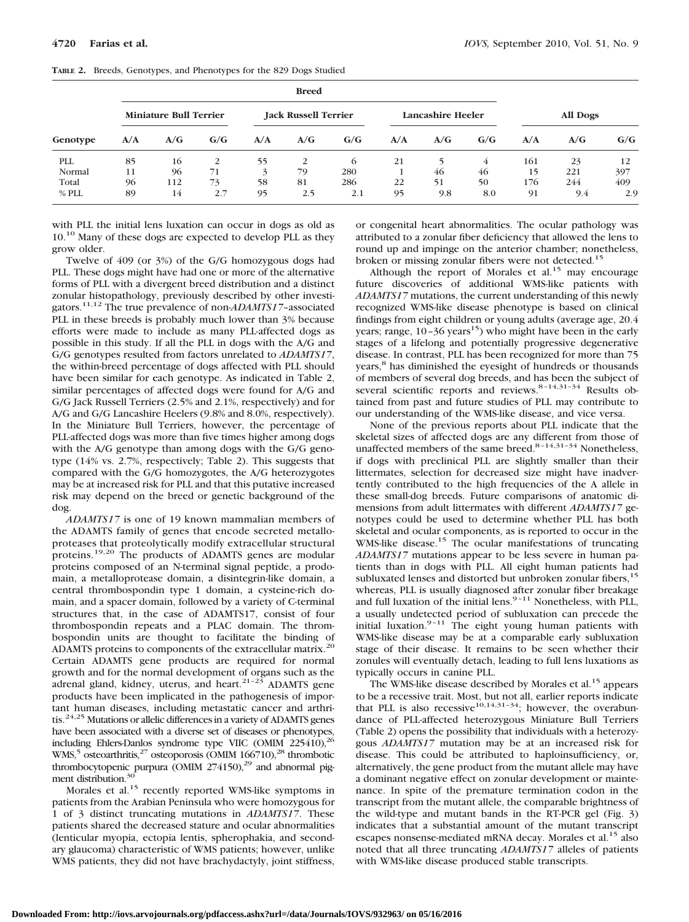|            |                               | <b>Breed</b> |     |                             |     |                   |     |                 |     |     |     |     |
|------------|-------------------------------|--------------|-----|-----------------------------|-----|-------------------|-----|-----------------|-----|-----|-----|-----|
|            | <b>Miniature Bull Terrier</b> |              |     | <b>Jack Russell Terrier</b> |     | Lancashire Heeler |     | <b>All Dogs</b> |     |     |     |     |
| Genotype   | A/A                           | A/G          | G/G | A/A                         | A/G | G/G               | A/A | A/G             | G/G | A/A | A/G | G/G |
| <b>PLL</b> | 85                            | 16           | 2   | 55                          | 2   | 6                 | 21  |                 | 4   | 161 | 23  | 12  |
| Normal     | 11                            | 96           | 71  | 3                           | 79  | 280               |     | 46              | 46  | 15  | 221 | 397 |
| Total      | 96                            | 112          | 73  | 58                          | 81  | 286               | 22  | 51              | 50  | 176 | 244 | 409 |
| % PLL      | 89                            | 14           | 2.7 | 95                          | 2.5 | 2.1               | 95  | 9.8             | 8.0 | 91  | 9.4 | 2.9 |

|  |  |  | TABLE 2. Breeds, Genotypes, and Phenotypes for the 829 Dogs Studied |  |  |  |
|--|--|--|---------------------------------------------------------------------|--|--|--|
|--|--|--|---------------------------------------------------------------------|--|--|--|

with PLL the initial lens luxation can occur in dogs as old as 10.<sup>10</sup> Many of these dogs are expected to develop PLL as they grow older.

Twelve of 409 (or 3%) of the G/G homozygous dogs had PLL. These dogs might have had one or more of the alternative forms of PLL with a divergent breed distribution and a distinct zonular histopathology, previously described by other investigators.11,12 The true prevalence of non-*ADAMTS17*–associated PLL in these breeds is probably much lower than 3% because efforts were made to include as many PLL-affected dogs as possible in this study. If all the PLL in dogs with the A/G and G/G genotypes resulted from factors unrelated to *ADAMTS17*, the within-breed percentage of dogs affected with PLL should have been similar for each genotype. As indicated in Table 2, similar percentages of affected dogs were found for A/G and G/G Jack Russell Terriers (2.5% and 2.1%, respectively) and for A/G and G/G Lancashire Heelers (9.8% and 8.0%, respectively). In the Miniature Bull Terriers, however, the percentage of PLL-affected dogs was more than five times higher among dogs with the A/G genotype than among dogs with the G/G genotype (14% vs. 2.7%, respectively; Table 2). This suggests that compared with the G/G homozygotes, the A/G heterozygotes may be at increased risk for PLL and that this putative increased risk may depend on the breed or genetic background of the dog.

*ADAMTS17* is one of 19 known mammalian members of the ADAMTS family of genes that encode secreted metalloproteases that proteolytically modify extracellular structural proteins.19,20 The products of ADAMTS genes are modular proteins composed of an N-terminal signal peptide, a prodomain, a metalloprotease domain, a disintegrin-like domain, a central thrombospondin type 1 domain, a cysteine-rich domain, and a spacer domain, followed by a variety of C-terminal structures that, in the case of ADAMTS17, consist of four thrombospondin repeats and a PLAC domain. The thrombospondin units are thought to facilitate the binding of ADAMTS proteins to components of the extracellular matrix.<sup>20</sup> Certain ADAMTS gene products are required for normal growth and for the normal development of organs such as the adrenal gland, kidney, uterus, and heart. $21-23$  ADAMTS gene products have been implicated in the pathogenesis of important human diseases, including metastatic cancer and arthritis.24,25 Mutations or allelic differences in a variety of ADAMTS genes have been associated with a diverse set of diseases or phenotypes, including Ehlers-Danlos syndrome type VIIC (OMIM 225410),26 WMS,<sup>5</sup> osteoarthritis,<sup>27</sup> osteoporosis (OMIM 166710),<sup>28</sup> thrombotic thrombocytopenic purpura (OMIM 274150),<sup>29</sup> and abnormal pigment distribution.<sup>30</sup>

Morales et al.15 recently reported WMS-like symptoms in patients from the Arabian Peninsula who were homozygous for 1 of 3 distinct truncating mutations in *ADAMTS17*. These patients shared the decreased stature and ocular abnormalities (lenticular myopia, ectopia lentis, spherophakia, and secondary glaucoma) characteristic of WMS patients; however, unlike WMS patients, they did not have brachydactyly, joint stiffness,

or congenital heart abnormalities. The ocular pathology was attributed to a zonular fiber deficiency that allowed the lens to round up and impinge on the anterior chamber; nonetheless, broken or missing zonular fibers were not detected.<sup>15</sup>

Although the report of Morales et al.<sup>15</sup> may encourage future discoveries of additional WMS-like patients with *ADAMTS17* mutations, the current understanding of this newly recognized WMS-like disease phenotype is based on clinical findings from eight children or young adults (average age, 20.4 years; range,  $10-36$  years<sup>15</sup>) who might have been in the early stages of a lifelong and potentially progressive degenerative disease. In contrast, PLL has been recognized for more than 75 years,<sup>8</sup> has diminished the eyesight of hundreds or thousands of members of several dog breeds, and has been the subject of several scientific reports and reviews.<sup>8–14,31–34</sup> Results obtained from past and future studies of PLL may contribute to our understanding of the WMS-like disease, and vice versa.

None of the previous reports about PLL indicate that the skeletal sizes of affected dogs are any different from those of unaffected members of the same breed. $8-14,31-34$  Nonetheless, if dogs with preclinical PLL are slightly smaller than their littermates, selection for decreased size might have inadvertently contributed to the high frequencies of the A allele in these small-dog breeds. Future comparisons of anatomic dimensions from adult littermates with different *ADAMTS17* genotypes could be used to determine whether PLL has both skeletal and ocular components, as is reported to occur in the WMS-like disease.<sup>15</sup> The ocular manifestations of truncating *ADAMTS17* mutations appear to be less severe in human patients than in dogs with PLL. All eight human patients had subluxated lenses and distorted but unbroken zonular fibers,<sup>15</sup> whereas, PLL is usually diagnosed after zonular fiber breakage and full luxation of the initial lens. $9-11$  Nonetheless, with PLL, a usually undetected period of subluxation can precede the initial luxation. $9-11$  The eight young human patients with WMS-like disease may be at a comparable early subluxation stage of their disease. It remains to be seen whether their zonules will eventually detach, leading to full lens luxations as typically occurs in canine PLL.

The WMS-like disease described by Morales et al.<sup>15</sup> appears to be a recessive trait. Most, but not all, earlier reports indicate that PLL is also recessive<sup>10,14,31-34</sup>; however, the overabundance of PLL-affected heterozygous Miniature Bull Terriers (Table 2) opens the possibility that individuals with a heterozygous *ADAMTS17* mutation may be at an increased risk for disease. This could be attributed to haploinsufficiency, or, alternatively, the gene product from the mutant allele may have a dominant negative effect on zonular development or maintenance. In spite of the premature termination codon in the transcript from the mutant allele, the comparable brightness of the wild-type and mutant bands in the RT-PCR gel (Fig. 3) indicates that a substantial amount of the mutant transcript escapes nonsense-mediated mRNA decay. Morales et al.<sup>15</sup> also noted that all three truncating *ADAMTS17* alleles of patients with WMS-like disease produced stable transcripts.